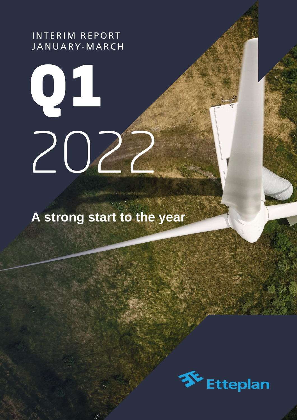**INTERIM REPORT** JANUARY-MARCH

# JANUARY-MAR 20

**A strong start to the year**

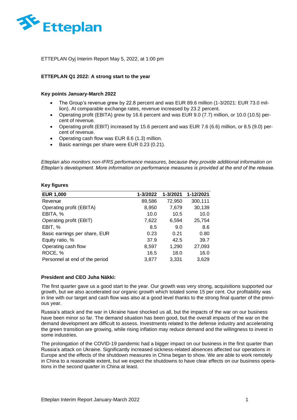

ETTEPLAN Oyj Interim Report May 5, 2022, at 1:00 pm

# **ETTEPLAN Q1 2022: A strong start to the year**

### **Key points January-March 2022**

- The Group's revenue grew by 22.8 percent and was EUR 89.6 million (1-3/2021: EUR 73.0 million). At comparable exchange rates, revenue increased by 23.2 percent.
- Operating profit (EBITA) grew by 16.6 percent and was EUR 9.0 (7.7) million, or 10.0 (10.5) percent of revenue.
- Operating profit (EBIT) increased by 15.6 percent and was EUR 7.6 (6.6) million, or 8.5 (9.0) percent of revenue.
- Operating cash flow was EUR 8.6 (1.3) million.
- Basic earnings per share were EUR 0.23 (0.21).

*Etteplan also monitors non-IFRS performance measures, because they provide additional information on Etteplan's development. More information on performance measures is provided at the end of the release.* 

### **Key figures**

| <b>EUR 1,000</b>               | 1-3/2022 | 1-3/2021 | 1-12/2021 |
|--------------------------------|----------|----------|-----------|
| Revenue                        | 89,586   | 72,950   | 300,111   |
| Operating profit (EBITA)       | 8,950    | 7,679    | 30,139    |
| EBITA, %                       | 10.0     | 10.5     | 10.0      |
| Operating profit (EBIT)        | 7,622    | 6,594    | 25,754    |
| EBIT, %                        | 8.5      | 9.0      | 8.6       |
| Basic earnings per share, EUR  | 0.23     | 0.21     | 0.80      |
| Equity ratio, %                | 37.9     | 42.5     | 39.7      |
| Operating cash flow            | 8,597    | 1,290    | 27,093    |
| ROCE, %                        | 16.5     | 18.0     | 16.0      |
| Personnel at end of the period | 3,877    | 3,331    | 3,629     |

### **President and CEO Juha Näkki:**

The first quarter gave us a good start to the year. Our growth was very strong, acquisitions supported our growth, but we also accelerated our organic growth which totaled some 15 per cent. Our profitability was in line with our target and cash flow was also at a good level thanks to the strong final quarter of the previous year.

Russia's attack and the war in Ukraine have shocked us all, but the impacts of the war on our business have been minor so far. The demand situation has been good, but the overall impacts of the war on the demand development are difficult to assess. Investments related to the defense industry and accelerating the green transition are growing, while rising inflation may reduce demand and the willingness to invest in some industries.

The prolongation of the COVID-19 pandemic had a bigger impact on our business in the first quarter than Russia's attack on Ukraine. Significantly increased sickness-related absences affected our operations in Europe and the effects of the shutdown measures in China began to show. We are able to work remotely in China to a reasonable extent, but we expect the shutdowns to have clear effects on our business operations in the second quarter in China at least.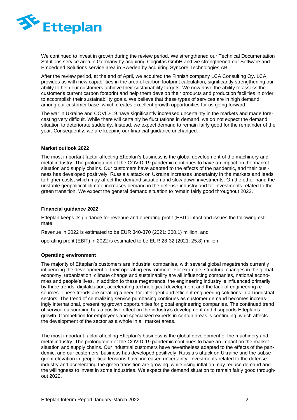

We continued to invest in growth during the review period. We strengthened our Technical Documentation Solutions service area in Germany by acquiring Cognitas GmbH and we strengthened our Software and Embedded Solutions service area in Sweden by acquiring Syncore Technologies AB.

After the review period, at the end of April, we acquired the Finnish company LCA Consulting Oy. LCA provides us with new capabilities in the area of carbon footprint calculation, significantly strengthening our ability to help our customers achieve their sustainability targets. We now have the ability to assess the customer's current carbon footprint and help them develop their products and production facilities in order to accomplish their sustainability goals. We believe that these types of services are in high demand among our customer base, which creates excellent growth opportunities for us going forward.

The war in Ukraine and COVID-19 have significantly increased uncertainty in the markets and made forecasting very difficult. While there will certainly be fluctuations in demand, we do not expect the demand situation to deteriorate suddenly. Instead, we expect demand to remain fairly good for the remainder of the year. Consequently, we are keeping our financial guidance unchanged.

### **Market outlook 2022**

The most important factor affecting Etteplan's business is the global development of the machinery and metal industry. The prolongation of the COVID-19 pandemic continues to have an impact on the market situation and supply chains. Our customers have adapted to the effects of the pandemic, and their business has developed positively. Russia's attack on Ukraine increases uncertainty in the markets and leads to higher costs, which may affect the demand situation and slow down investments. On the other hand the unstable geopolitical climate increases demand in the defense industry and for investments related to the green transition. We expect the general demand situation to remain fairly good throughout 2022.

### **Financial guidance 2022**

Etteplan keeps its guidance for revenue and operating profit (EBIT) intact and issues the following estimate:

Revenue in 2022 is estimated to be EUR 340-370 (2021: 300.1) million, and

operating profit (EBIT) in 2022 is estimated to be EUR 28-32 (2021: 25.8) million.

### **Operating environment**

The majority of Etteplan's customers are industrial companies, with several global megatrends currently influencing the development of their operating environment. For example, structural changes in the global economy, urbanization, climate change and sustainability are all influencing companies, national economies and people's lives. In addition to these megatrends, the engineering industry is influenced primarily by three trends: digitalization, accelerating technological development and the lack of engineering resources. These trends are creating a need for intelligent and efficient engineering solutions in all industrial sectors. The trend of centralizing service purchasing continues as customer demand becomes increasingly international, presenting growth opportunities for global engineering companies. The continued trend of service outsourcing has a positive effect on the industry's development and it supports Etteplan's growth. Competition for employees and specialized experts in certain areas is continuing, which affects the development of the sector as a whole in all market areas.

The most important factor affecting Etteplan's business is the global development of the machinery and metal industry. The prolongation of the COVID-19 pandemic continues to have an impact on the market situation and supply chains. Our industrial customers have nevertheless adapted to the effects of the pandemic, and our customers' business has developed positively. Russia's attack on Ukraine and the subsequent elevation in geopolitical tensions have increased uncertainty. Investments related to the defense industry and accelerating the green transition are growing, while rising inflation may reduce demand and the willingness to invest in some industries. We expect the demand situation to remain fairly good throughout 2022.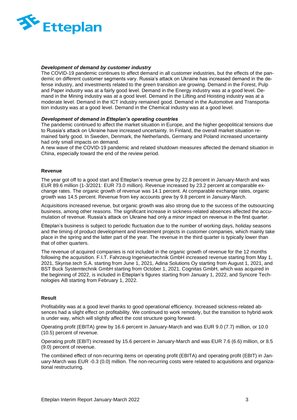

### *Development of demand by customer industry*

The COVID-19 pandemic continues to affect demand in all customer industries, but the effects of the pandemic on different customer segments vary. Russia's attack on Ukraine has increased demand in the defense industry, and investments related to the green transition are growing. Demand in the Forest, Pulp and Paper industry was at a fairly good level. Demand in the Energy industry was at a good level. Demand in the Mining industry was at a good level. Demand in the Lifting and Hoisting industry was at a moderate level. Demand in the ICT industry remained good. Demand in the Automotive and Transportation industry was at a good level. Demand in the Chemical industry was at a good level.

### *Development of demand in Etteplan's operating countries*

The pandemic continued to affect the market situation in Europe, and the higher geopolitical tensions due to Russia's attack on Ukraine have increased uncertainty. In Finland, the overall market situation remained fairly good. In Sweden, Denmark, the Netherlands, Germany and Poland increased uncertainty had only small impacts on demand.

A new wave of the COVID-19 pandemic and related shutdown measures affected the demand situation in China, especially toward the end of the review period.

### **Revenue**

The year got off to a good start and Etteplan's revenue grew by 22.8 percent in January-March and was EUR 89.6 million (1-3/2021: EUR 73.0 million). Revenue increased by 23.2 percent at comparable exchange rates. The organic growth of revenue was 14.1 percent. At comparable exchange rates, organic growth was 14.5 percent. Revenue from key accounts grew by 9.8 percent in January-March.

Acquisitions increased revenue, but organic growth was also strong due to the success of the outsourcing business, among other reasons. The significant increase in sickness-related absences affected the accumulation of revenue. Russia's attack on Ukraine had only a minor impact on revenue in the first quarter.

Etteplan's business is subject to periodic fluctuation due to the number of working days, holiday seasons and the timing of product development and investment projects in customer companies, which mainly take place in the spring and the latter part of the year. The revenue in the third quarter is typically lower than that of other quarters.

The revenue of acquired companies is not included in the organic growth of revenue for the 12 months following the acquisition. F.I.T. Fahrzeug Ingenieurtechnik GmbH increased revenue starting from May 1, 2021, Skyrise.tech S.A. starting from June 1, 2021, Adina Solutions Oy starting from August 1, 2021, and BST Buck Systemtechnik GmbH starting from October 1, 2021. Cognitas GmbH, which was acquired in the beginning of 2022, is included in Etteplan's figures starting from January 1, 2022, and Syncore Technologies AB starting from February 1, 2022.

### **Result**

Profitability was at a good level thanks to good operational efficiency. Increased sickness-related absences had a slight effect on profitability. We continued to work remotely, but the transition to hybrid work is under way, which will slightly affect the cost structure going forward.

Operating profit (EBITA) grew by 16.6 percent in January-March and was EUR 9.0 (7.7) million, or 10.0 (10.5) percent of revenue.

Operating profit (EBIT) increased by 15.6 percent in January-March and was EUR 7.6 (6.6) million, or 8.5 (9.0) percent of revenue.

The combined effect of non-recurring items on operating profit (EBITA) and operating profit (EBIT) in January-March was EUR -0.3 (0.0) million. The non-recurring costs were related to acquisitions and organizational restructuring.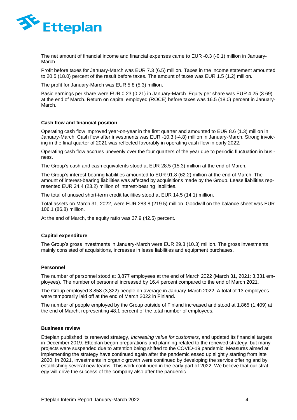

The net amount of financial income and financial expenses came to EUR -0.3 (-0.1) million in January-March.

Profit before taxes for January-March was EUR 7.3 (6.5) million. Taxes in the income statement amounted to 20.5 (18.0) percent of the result before taxes. The amount of taxes was EUR 1.5 (1.2) million.

The profit for January-March was EUR 5.8 (5.3) million.

Basic earnings per share were EUR 0.23 (0.21) in January-March. Equity per share was EUR 4.25 (3.69) at the end of March. Return on capital employed (ROCE) before taxes was 16.5 (18.0) percent in January-March.

### **Cash flow and financial position**

Operating cash flow improved year-on-year in the first quarter and amounted to EUR 8.6 (1.3) million in January-March. Cash flow after investments was EUR -10.3 (-4.8) million in January-March. Strong invoicing in the final quarter of 2021 was reflected favorably in operating cash flow in early 2022.

Operating cash flow accrues unevenly over the four quarters of the year due to periodic fluctuation in business.

The Group's cash and cash equivalents stood at EUR 28.5 (15.3) million at the end of March.

The Group's interest-bearing liabilities amounted to EUR 91.8 (62.2) million at the end of March. The amount of interest-bearing liabilities was affected by acquisitions made by the Group. Lease liabilities represented EUR 24.4 (23.2) million of interest-bearing liabilities.

The total of unused short-term credit facilities stood at EUR 14.5 (14.1) million.

Total assets on March 31, 2022, were EUR 283.8 (219.5) million. Goodwill on the balance sheet was EUR 106.1 (86.8) million.

At the end of March, the equity ratio was 37.9 (42.5) percent.

### **Capital expenditure**

The Group's gross investments in January-March were EUR 29.3 (10.3) million. The gross investments mainly consisted of acquisitions, increases in lease liabilities and equipment purchases.

### **Personnel**

The number of personnel stood at 3,877 employees at the end of March 2022 (March 31, 2021: 3,331 employees). The number of personnel increased by 16.4 percent compared to the end of March 2021.

The Group employed 3,858 (3,322) people on average in January-March 2022. A total of 13 employees were temporarily laid off at the end of March 2022 in Finland.

The number of people employed by the Group outside of Finland increased and stood at 1,865 (1,409) at the end of March, representing 48.1 percent of the total number of employees.

### **Business review**

Etteplan published its renewed strategy, *Increasing value for customers*, and updated its financial targets in December 2019. Etteplan began preparations and planning related to the renewed strategy, but many projects were suspended due to attention being shifted to the COVID-19 pandemic. Measures aimed at implementing the strategy have continued again after the pandemic eased up slightly starting from late 2020. In 2021, investments in organic growth were continued by developing the service offering and by establishing several new teams. This work continued in the early part of 2022. We believe that our strategy will drive the success of the company also after the pandemic.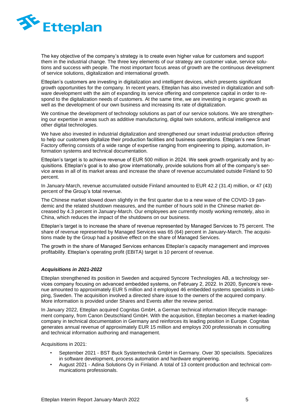

The key objective of the company's strategy is to create even higher value for customers and support them in the industrial change. The three key elements of our strategy are customer value, service solutions and success with people. The most important focus areas of growth are the continuous development of service solutions, digitalization and international growth.

Etteplan's customers are investing in digitalization and intelligent devices, which presents significant growth opportunities for the company. In recent years, Etteplan has also invested in digitalization and software development with the aim of expanding its service offering and competence capital in order to respond to the digitalization needs of customers. At the same time, we are investing in organic growth as well as the development of our own business and increasing its rate of digitalization.

We continue the development of technology solutions as part of our service solutions. We are strengthening our expertise in areas such as additive manufacturing, digital twin solutions, artificial intelligence and other digital technologies.

We have also invested in industrial digitalization and strengthened our smart industrial production offering to help our customers digitalize their production facilities and business operations. Etteplan's new Smart Factory offering consists of a wide range of expertise ranging from engineering to piping, automation, information systems and technical documentation.

Etteplan's target is to achieve revenue of EUR 500 million in 2024. We seek growth organically and by acquisitions. Etteplan's goal is to also grow internationally, provide solutions from all of the company's service areas in all of its market areas and increase the share of revenue accumulated outside Finland to 50 percent.

In January-March, revenue accumulated outside Finland amounted to EUR 42.2 (31.4) million, or 47 (43) percent of the Group's total revenue.

The Chinese market slowed down slightly in the first quarter due to a new wave of the COVID-19 pandemic and the related shutdown measures, and the number of hours sold in the Chinese market decreased by 4.3 percent in January-March. Our employees are currently mostly working remotely, also in China, which reduces the impact of the shutdowns on our business.

Etteplan's target is to increase the share of revenue represented by Managed Services to 75 percent. The share of revenue represented by Managed Services was 65 (64) percent in January-March. The acquisitions made by the Group had a positive effect on the share of Managed Services.

The growth in the share of Managed Services enhances Etteplan's capacity management and improves profitability. Etteplan's operating profit (EBITA) target is 10 percent of revenue.

# *Acquisitions in 2021-2022*

Etteplan strengthened its position in Sweden and acquired Syncore Technologies AB, a technology services company focusing on advanced embedded systems, on February 2, 2022. In 2020, Syncore's revenue amounted to approximately EUR 5 million and it employed 46 embedded systems specialists in Linköping, Sweden. The acquisition involved a directed share issue to the owners of the acquired company. More information is provided under Shares and Events after the review period.

In January 2022, Etteplan acquired Cognitas GmbH, a German technical information lifecycle management company, from Canon Deutschland GmbH. With the acquisition, Etteplan becomes a market-leading company in technical documentation in Germany and reinforces its leading position in Europe. Cognitas generates annual revenue of approximately EUR 15 million and employs 200 professionals in consulting and technical information authoring and management.

Acquisitions in 2021:

- September 2021 BST Buck Systemtechnik GmbH in Germany. Over 30 specialists. Specializes in software development, process automation and hardware engineering.
- August 2021 Adina Solutions Oy in Finland. A total of 13 content production and technical communications professionals.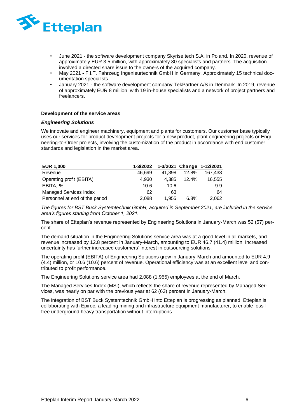

- June 2021 the software development company Skyrise.tech S.A. in Poland. In 2020, revenue of approximately EUR 3.5 million, with approximately 80 specialists and partners. The acquisition involved a directed share issue to the owners of the acquired company.
- May 2021 F.I.T. Fahrzeug Ingenieurtechnik GmbH in Germany. Approximately 15 technical documentation specialists.
- January 2021 the software development company TekPartner A/S in Denmark. In 2019, revenue of approximately EUR 8 million, with 19 in-house specialists and a network of project partners and freelancers.

### **Development of the service areas**

### *Engineering Solutions*

We innovate and engineer machinery, equipment and plants for customers. Our customer base typically uses our services for product development projects for a new product, plant engineering projects or Engineering-to-Order projects, involving the customization of the product in accordance with end customer standards and legislation in the market area.

| <b>EUR 1,000</b>               | 1-3/2022 |        |       | 1-3/2021 Change 1-12/2021 |
|--------------------------------|----------|--------|-------|---------------------------|
| Revenue                        | 46,699   | 41.398 | 12.8% | 167,433                   |
| Operating profit (EBITA)       | 4.930    | 4.385  | 12.4% | 16,555                    |
| EBITA, %                       | 10.6     | 10.6   |       | 9.9                       |
| Managed Services index         | 62       | 63     |       | 64                        |
| Personnel at end of the period | 2.088    | 1.955  | 6.8%  | 2,062                     |

*The figures for BST Buck Systemtechnik GmbH, acquired in September 2021, are included in the service area's figures starting from October 1, 2021.* 

The share of Etteplan's revenue represented by Engineering Solutions in January-March was 52 (57) percent.

The demand situation in the Engineering Solutions service area was at a good level in all markets, and revenue increased by 12.8 percent in January-March, amounting to EUR 46.7 (41.4) million. Increased uncertainty has further increased customers' interest in outsourcing solutions.

The operating profit (EBITA) of Engineering Solutions grew in January-March and amounted to EUR 4.9 (4.4) million, or 10.6 (10.6) percent of revenue. Operational efficiency was at an excellent level and contributed to profit performance.

The Engineering Solutions service area had 2,088 (1,955) employees at the end of March.

The Managed Services Index (MSI), which reflects the share of revenue represented by Managed Services, was nearly on par with the previous year at 62 (63) percent in January-March.

The integration of BST Buck Systemtechnik GmbH into Etteplan is progressing as planned. Etteplan is collaborating with Epiroc, a leading mining and infrastructure equipment manufacturer, to enable fossilfree underground heavy transportation without interruptions.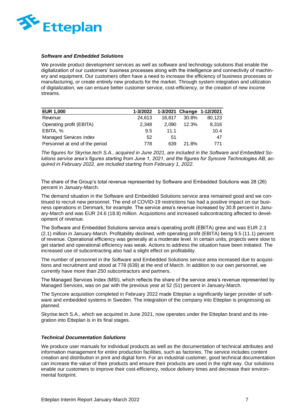

### *Software and Embedded Solutions*

We provide product development services as well as software and technology solutions that enable the digitalization of our customers' business processes along with the intelligence and connectivity of machinery and equipment. Our customers often have a need to increase the efficiency of business processes or manufacturing, or create entirely new products for the market. Through system integration and utilization of digitalization, we can ensure better customer service, cost-efficiency, or the creation of new income streams.

| <b>EUR 1,000</b>               | 1-3/2022 |        |       | 1-3/2021 Change 1-12/2021 |
|--------------------------------|----------|--------|-------|---------------------------|
| Revenue                        | 24.613   | 18.817 | 30.8% | 80,123                    |
| Operating profit (EBITA)       | 2.348    | 2.090  | 12.3% | 8,316                     |
| EBITA, %                       | 9.5      | 11.1   |       | 10.4                      |
| Managed Services index         | 52       | 51     |       | 47                        |
| Personnel at end of the period | 778      | 639    | 21.8% | 771                       |

*The figures for Skyrise.tech S.A., acquired in June 2021, are included in the Software and Embedded Solutions service area's figures starting from June 1, 2021, and the figures for Syncore Technologies AB, acquired in February 2022, are included starting from February 1, 2022.* 

The share of the Group's total revenue represented by Software and Embedded Solutions was 28 (26) percent in January-March.

The demand situation in the Software and Embedded Solutions service area remained good and we continued to recruit new personnel. The end of COVID-19 restrictions has had a positive impact on our business operations in Denmark, for example. The service area's revenue increased by 30.8 percent in January-March and was EUR 24.6 (18.8) million. Acquisitions and increased subcontracting affected to development of revenue.

The Software and Embedded Solutions service area's operating profit (EBITA) grew and was EUR 2.3 (2.1) million in January-March. Profitability declined, with operating profit (EBITA) being 9.5 (11.1) percent of revenue. Operational efficiency was generally at a moderate level. In certain units, projects were slow to get started and operational efficiency was weak. Actions to address the situation have been initiated. The increased use of subcontracting also had a slight effect on profitability.

The number of personnel in the Software and Embedded Solutions service area increased due to acquisitions and recruitment and stood at 778 (639) at the end of March. In addition to our own personnel, we currently have more than 250 subcontractors and partners.

The Managed Services Index (MSI), which reflects the share of the service area's revenue represented by Managed Services, was on par with the previous year at 52 (51) percent in January-March.

The Syncore acquisition completed in February 2022 made Etteplan a significantly larger provider of software and embedded systems in Sweden. The integration of the company into Etteplan is progressing as planned.

Skyrise.tech S.A., which we acquired in June 2021, now operates under the Etteplan brand and its integration into Etteplan is in its final stages.

### *Technical Documentation Solutions*

We produce user manuals for individual products as well as the documentation of technical attributes and information management for entire production facilities, such as factories. The service includes content creation and distribution in print and digital form. For an industrial customer, good technical documentation can increase the value of their products and ensure their products are used in the right way. Our solutions enable our customers to improve their cost-efficiency, reduce delivery times and decrease their environmental footprint.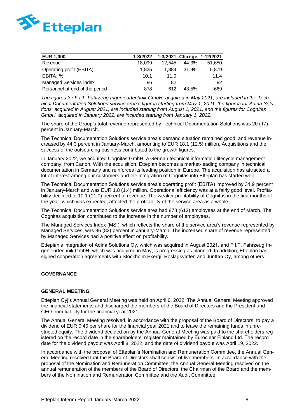

| <b>EUR 1,000</b>               | 1-3/2022 |        |       | 1-3/2021 Change 1-12/2021 |
|--------------------------------|----------|--------|-------|---------------------------|
| Revenue                        | 18.099   | 12.545 | 44.3% | 51,650                    |
| Operating profit (EBITA)       | 1.825    | 1.384  | 31.9% | 5.879                     |
| EBITA, %                       | 10.1     | 11.0   |       | 11.4                      |
| Managed Services index         | 86       | 82     |       | 82                        |
| Personnel at end of the period | 878      | 612    | 43.5% | 669                       |

*The figures for F.I.T. Fahrzeug Ingenieurtechnik GmbH, acquired in May 2021, are included in the Technical Documentation Solutions service area's figures starting from May 1, 2021, the figures for Adina Solutions, acquired in August 2021, are included starting from August 1, 2021, and the figures for Cognitas GmbH, acquired in January 2022, are included starting from January 1, 2022.* 

The share of the Group's total revenue represented by Technical Documentation Solutions was 20 (17) percent in January-March.

The Technical Documentation Solutions service area's demand situation remained good, and revenue increased by 44.3 percent in January-March, amounting to EUR 18.1 (12.5) million. Acquisitions and the success of the outsourcing business contributed to the growth figures.

In January 2022, we acquired Cognitas GmbH, a German technical information lifecycle management company, from Canon. With the acquisition, Etteplan becomes a market-leading company in technical documentation in Germany and reinforces its leading position in Europe. The acquisition has attracted a lot of interest among our customers and the integration of Cognitas into Etteplan has started well.

The Technical Documentation Solutions service area's operating profit (EBITA) improved by 31.9 percent in January-March and was EUR 1.8 (1.4) million. Operational efficiency was at a fairly good level. Profitability declined to 10.1 (11.0) percent of revenue. The weaker profitability of Cognitas in the first months of the year, which was expected, affected the profitability of the service area as a whole.

The Technical Documentation Solutions service area had 878 (612) employees at the end of March. The Cognitas acquisition contributed to the increase in the number of employees.

The Managed Services Index (MSI), which reflects the share of the service area's revenue represented by Managed Services, was 86 (82) percent in January-March. The increased share of revenue represented by Managed Services had a positive effect on profitability.

Etteplan's integration of Adina Solutions Oy, which was acquired in August 2021, and F.I.T. Fahrzeug Ingenieurtechnik GmbH, which was acquired in May, is progressing as planned. In addition, Etteplan has signed cooperation agreements with Stockholm Exergi, Roslagsvatten and Junttan Oy, among others.

### **GOVERNANCE**

### **GENERAL MEETING**

Etteplan Oyj's Annual General Meeting was held on April 6, 2022. The Annual General Meeting approved the financial statements and discharged the members of the Board of Directors and the President and CEO from liability for the financial year 2021.

The Annual General Meeting resolved, in accordance with the proposal of the Board of Directors, to pay a dividend of EUR 0.40 per share for the financial year 2021 and to leave the remaining funds in unrestricted equity. The dividend decided on by the Annual General Meeting was paid to the shareholders registered on the record date in the shareholders' register maintained by Euroclear Finland Ltd. The record date for the dividend payout was April 8, 2022, and the date of dividend payout was April 19, 2022.

In accordance with the proposal of Etteplan's Nomination and Remuneration Committee, the Annual General Meeting resolved that the Board of Directors shall consist of five members. In accordance with the proposal of the Nomination and Remuneration Committee, the Annual General Meeting resolved on the annual remuneration of the members of the Board of Directors, the Chairman of the Board and the members of the Nomination and Remuneration Committee and the Audit Committee.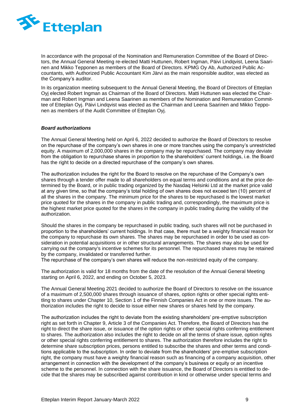

In accordance with the proposal of the Nomination and Remuneration Committee of the Board of Directors, the Annual General Meeting re-elected Matti Huttunen, Robert Ingman, Päivi Lindqvist, Leena Saarinen and Mikko Tepponen as members of the Board of Directors. KPMG Oy Ab, Authorized Public Accountants, with Authorized Public Accountant Kim Järvi as the main responsible auditor, was elected as the Company's auditor.

In its organization meeting subsequent to the Annual General Meeting, the Board of Directors of Etteplan Oyj elected Robert Ingman as Chairman of the Board of Directors. Matti Huttunen was elected the Chairman and Robert Ingman and Leena Saarinen as members of the Nomination and Remuneration Committee of Etteplan Oyj. Päivi Lindqvist was elected as the Chairman and Leena Saarinen and Mikko Tepponen as members of the Audit Committee of Etteplan Oyj.

### *Board authorizations*

The Annual General Meeting held on April 6, 2022 decided to authorize the Board of Directors to resolve on the repurchase of the company's own shares in one or more tranches using the company's unrestricted equity. A maximum of 2,000,000 shares in the company may be repurchased. The company may deviate from the obligation to repurchase shares in proportion to the shareholders' current holdings, i.e. the Board has the right to decide on a directed repurchase of the company's own shares.

The authorization includes the right for the Board to resolve on the repurchase of the Company's own shares through a tender offer made to all shareholders on equal terms and conditions and at the price determined by the Board, or in public trading organized by the Nasdaq Helsinki Ltd at the market price valid at any given time, so that the company's total holding of own shares does not exceed ten (10) percent of all the shares in the company. The minimum price for the shares to be repurchased is the lowest market price quoted for the shares in the company in public trading and, correspondingly, the maximum price is the highest market price quoted for the shares in the company in public trading during the validity of the authorization.

Should the shares in the company be repurchased in public trading, such shares will not be purchased in proportion to the shareholders' current holdings. In that case, there must be a weighty financial reason for the company to repurchase its own shares. The shares may be repurchased in order to be used as consideration in potential acquisitions or in other structural arrangements. The shares may also be used for carrying out the company's incentive schemes for its personnel. The repurchased shares may be retained by the company, invalidated or transferred further.

The repurchase of the company's own shares will reduce the non-restricted equity of the company.

The authorization is valid for 18 months from the date of the resolution of the Annual General Meeting starting on April 6, 2022, and ending on October 5, 2023.

The Annual General Meeting 2021 decided to authorize the Board of Directors to resolve on the issuance of a maximum of 2,500,000 shares through issuance of shares, option rights or other special rights entitling to shares under Chapter 10, Section 1 of the Finnish Companies Act in one or more issues. The authorization includes the right to decide to issue either new shares or shares held by the company.

The authorization includes the right to deviate from the existing shareholders' pre-emptive subscription right as set forth in Chapter 9, Article 3 of the Companies Act. Therefore, the Board of Directors has the right to direct the share issue, or issuance of the option rights or other special rights conferring entitlement to shares. The authorization also includes the right to decide on all the terms of share issue, option rights or other special rights conferring entitlement to shares. The authorization therefore includes the right to determine share subscription prices, persons entitled to subscribe the shares and other terms and conditions applicable to the subscription. In order to deviate from the shareholders' pre-emptive subscription right, the company must have a weighty financial reason such as financing of a company acquisition, other arrangement in connection with the development of the company's business or equity or an incentive scheme to the personnel. In connection with the share issuance, the Board of Directors is entitled to decide that the shares may be subscribed against contribution in kind or otherwise under special terms and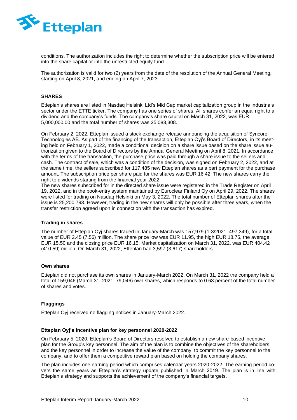

conditions. The authorization includes the right to determine whether the subscription price will be entered into the share capital or into the unrestricted equity fund.

The authorization is valid for two (2) years from the date of the resolution of the Annual General Meeting, starting on April 8, 2021, and ending on April 7, 2023.

### **SHARES**

Etteplan's shares are listed in Nasdaq Helsinki Ltd's Mid Cap market capitalization group in the Industrials sector under the ETTE ticker. The company has one series of shares. All shares confer an equal right to a dividend and the company's funds. The company's share capital on March 31, 2022, was EUR 5,000,000.00 and the total number of shares was 25,083,308.

On February 2, 2022, Etteplan issued a stock exchange release announcing the acquisition of Syncore Technologies AB. As part of the financing of the transaction, Etteplan Oyj's Board of Directors, in its meeting held on February 1, 2022, made a conditional decision on a share issue based on the share issue authorization given to the Board of Directors by the Annual General Meeting on April 8, 2021. In accordance with the terms of the transaction, the purchase price was paid through a share issue to the sellers and cash. The contract of sale, which was a condition of the decision, was signed on February 2, 2022, and at the same time, the sellers subscribed for 117,485 new Etteplan shares as a part payment for the purchase amount. The subscription price per share paid for the shares was EUR 16.42. The new shares carry the right to dividends starting from the financial year 2022.

The new shares subscribed for in the directed share issue were registered in the Trade Register on April 19, 2022, and in the book-entry system maintained by Euroclear Finland Oy on April 29, 2022. The shares were listed for trading on Nasdaq Helsinki on May 3, 2022. The total number of Etteplan shares after the issue is 25,200,793. However, trading in the new shares will only be possible after three years, when the transfer restriction agreed upon in connection with the transaction has expired.

### **Trading in shares**

The number of Etteplan Oyj shares traded in January-March was 157,979 (1-3/2021: 497,349), for a total value of EUR 2.45 (7.56) million. The share price low was EUR 11.95, the high EUR 18.75, the average EUR 15.50 and the closing price EUR 16.15. Market capitalization on March 31, 2022, was EUR 404.42 (410.59) million. On March 31, 2022, Etteplan had 3,597 (3,617) shareholders.

### **Own shares**

Etteplan did not purchase its own shares in January-March 2022. On March 31, 2022 the company held a total of 159,046 (March 31, 2021: 79,046) own shares, which responds to 0.63 percent of the total number of shares and votes.

# **Flaggings**

Etteplan Oyj received no flagging notices in January-March 2022.

### **Etteplan Oyj's incentive plan for key personnel 2020-2022**

On February 5, 2020, Etteplan's Board of Directors resolved to establish a new share-based incentive plan for the Group's key personnel. The aim of the plan is to combine the objectives of the shareholders and the key personnel in order to increase the value of the company, to commit the key personnel to the company, and to offer them a competitive reward plan based on holding the company shares.

The plan includes one earning period which comprises calendar years 2020-2022. The earning period covers the same years as Etteplan's strategy update published in March 2019. The plan is in line with Etteplan's strategy and supports the achievement of the company's financial targets.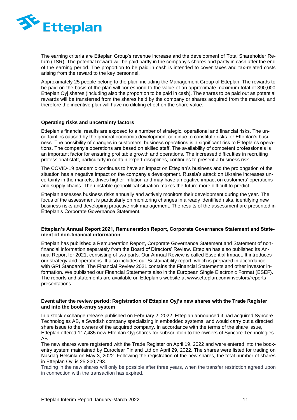

The earning criteria are Etteplan Group's revenue increase and the development of Total Shareholder Return (TSR). The potential reward will be paid partly in the company's shares and partly in cash after the end of the earning period. The proportion to be paid in cash is intended to cover taxes and tax-related costs arising from the reward to the key personnel.

Approximately 25 people belong to the plan, including the Management Group of Etteplan. The rewards to be paid on the basis of the plan will correspond to the value of an approximate maximum total of 390,000 Etteplan Oyj shares (including also the proportion to be paid in cash). The shares to be paid out as potential rewards will be transferred from the shares held by the company or shares acquired from the market, and therefore the incentive plan will have no diluting effect on the share value.

### **Operating risks and uncertainty factors**

Etteplan's financial results are exposed to a number of strategic, operational and financial risks. The uncertainties caused by the general economic development continue to constitute risks for Etteplan's business. The possibility of changes in customers' business operations is a significant risk to Etteplan's operations. The company's operations are based on skilled staff. The availability of competent professionals is an important factor for ensuring profitable growth and operations. The increased difficulties in recruiting professional staff, particularly in certain expert disciplines, continues to present a business risk.

The COVID-19 pandemic continues to have an impact on Etteplan's business and the prolongation of the situation has a negative impact on the company's development. Russia's attack on Ukraine increases uncertainty in the markets, drives higher inflation and may have a negative impact on customers' operations and supply chains. The unstable geopolitical situation makes the future more difficult to predict.

Etteplan assesses business risks annually and actively monitors their development during the year. The focus of the assessment is particularly on monitoring changes in already identified risks, identifying new business risks and developing proactive risk management. The results of the assessment are presented in Etteplan's Corporate Governance Statement.

### **Etteplan's Annual Report 2021, Remuneration Report, Corporate Governance Statement and Statement of non-financial information**

Etteplan has published a Remuneration Report, Corporate Governance Statement and Statement of nonfinancial information separately from the Board of Directors' Review. Etteplan has also published its Annual Report for 2021, consisting of two parts. Our Annual Review is called Essential Impact. It introduces our strategy and operations. It also includes our Sustainability report, which is prepared in accordance with GRI Standards. The Financial Review 2021 contains the Financial Statements and other investor information. We published our Financial Statements also in the European Single Electronic Format (ESEF). The reports and statements are available on Etteplan's website at www.etteplan.com/investors/reportspresentations.

### **Event after the review period: Registration of Etteplan Oyj's new shares with the Trade Register and into the book-entry system**

In a stock exchange release published on February 2, 2022, Etteplan announced it had acquired Syncore Technologies AB, a Swedish company specializing in embedded systems, and would carry out a directed share issue to the owners of the acquired company. In accordance with the terms of the share issue, Etteplan offered 117,485 new Etteplan Oyj shares for subscription to the owners of Syncore Technologies AB.

The new shares were registered with the Trade Register on April 19, 2022 and were entered into the bookentry system maintained by Euroclear Finland Ltd on April 29, 2022. The shares were listed for trading on Nasdaq Helsinki on May 3, 2022. Following the registration of the new shares, the total number of shares in Etteplan Oyj is 25,200,793.

Trading in the new shares will only be possible after three years, when the transfer restriction agreed upon in connection with the transaction has expired.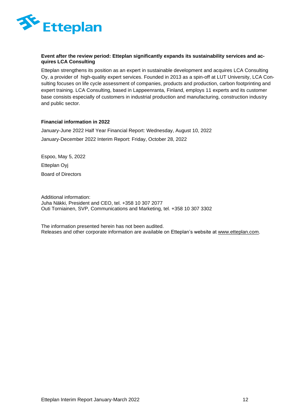

# **Event after the review period: Etteplan significantly expands its sustainability services and acquires LCA Consulting**

Etteplan strengthens its position as an expert in sustainable development and acquires LCA Consulting Oy, a provider of high-quality expert services. Founded in 2013 as a spin-off at LUT University, LCA Consulting focuses on life cycle assessment of companies, products and production, carbon footprinting and expert training. LCA Consulting, based in Lappeenranta, Finland, employs 11 experts and its customer base consists especially of customers in industrial production and manufacturing, construction industry and public sector.

# **Financial information in 2022**

January-June 2022 Half Year Financial Report: Wednesday, August 10, 2022 January-December 2022 Interim Report: Friday, October 28, 2022

Espoo, May 5, 2022 Etteplan Oyj Board of Directors

Additional information: Juha Näkki, President and CEO, tel. +358 10 307 2077 Outi Torniainen, SVP, Communications and Marketing, tel. +358 10 307 3302

The information presented herein has not been audited. Releases and other corporate information are available on Etteplan's website at [www.etteplan.com.](http://www.etteplan.com/)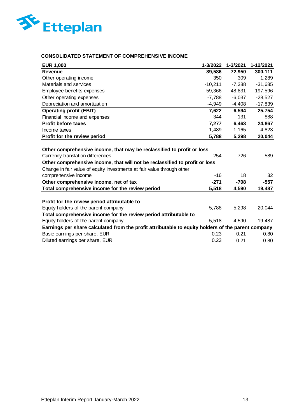

# **CONSOLIDATED STATEMENT OF COMPREHENSIVE INCOME**

| <b>EUR 1,000</b>                                                                                                                                                                                                                                                                            | 1-3/2022      | 1-3/2021     | 1-12/2021    |
|---------------------------------------------------------------------------------------------------------------------------------------------------------------------------------------------------------------------------------------------------------------------------------------------|---------------|--------------|--------------|
| <b>Revenue</b>                                                                                                                                                                                                                                                                              | 89,586        | 72,950       | 300,111      |
| Other operating income                                                                                                                                                                                                                                                                      | 350           | 309          | 1,289        |
| Materials and services                                                                                                                                                                                                                                                                      | $-10,211$     | $-7,388$     | $-31,685$    |
| Employee benefits expenses                                                                                                                                                                                                                                                                  | $-59,366$     | $-48,831$    | $-197,596$   |
| Other operating expenses                                                                                                                                                                                                                                                                    | $-7,788$      | $-6,037$     | $-28,527$    |
| Depreciation and amortization                                                                                                                                                                                                                                                               | $-4,949$      | $-4,408$     | $-17,839$    |
| <b>Operating profit (EBIT)</b>                                                                                                                                                                                                                                                              | 7,622         | 6,594        | 25,754       |
| Financial income and expenses                                                                                                                                                                                                                                                               | $-344$        | $-131$       | $-888$       |
| <b>Profit before taxes</b>                                                                                                                                                                                                                                                                  | 7,277         | 6,463        | 24,867       |
| Income taxes                                                                                                                                                                                                                                                                                | $-1,489$      | $-1,165$     | $-4,823$     |
| Profit for the review period                                                                                                                                                                                                                                                                | 5,788         | 5,298        | 20,044       |
| Other comprehensive income, that may be reclassified to profit or loss<br>Currency translation differences<br>Other comprehensive income, that will not be reclassified to profit or loss<br>Change in fair value of equity investments at fair value through other<br>comprehensive income | $-254$<br>-16 | $-726$<br>18 | $-589$<br>32 |
| Other comprehensive income, net of tax                                                                                                                                                                                                                                                      | $-271$        | $-708$       | $-557$       |
| Total comprehensive income for the review period                                                                                                                                                                                                                                            | 5,518         | 4,590        | 19,487       |
| Profit for the review period attributable to<br>Equity holders of the parent company<br>Total comprehensive income for the review period attributable to                                                                                                                                    | 5,788         | 5,298        | 20,044       |
| Equity holders of the parent company                                                                                                                                                                                                                                                        | 5,518         | 4,590        | 19,487       |
| Earnings per share calculated from the profit attributable to equity holders of the parent company                                                                                                                                                                                          |               |              |              |
| Basic earnings per share, EUR                                                                                                                                                                                                                                                               | 0.23          | 0.21         | 0.80         |
| Diluted earnings per share, EUR                                                                                                                                                                                                                                                             | 0.23          | 0.21         | 0.80         |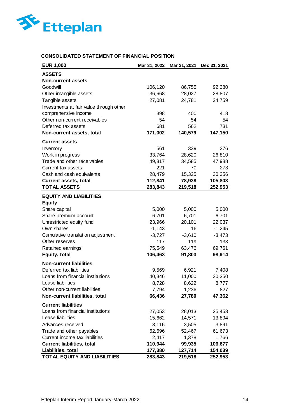

# **CONSOLIDATED STATEMENT OF FINANCIAL POSITION**

| <b>EUR 1,000</b>                        | Mar 31, 2022 | Mar 31, 2021 | Dec 31, 2021 |
|-----------------------------------------|--------------|--------------|--------------|
| <b>ASSETS</b>                           |              |              |              |
| <b>Non-current assets</b>               |              |              |              |
| Goodwill                                | 106,120      | 86,755       | 92,380       |
| Other intangible assets                 | 36,668       | 28,027       | 28,807       |
| Tangible assets                         | 27,081       | 24,781       | 24,759       |
| Investments at fair value through other |              |              |              |
| comprehensive income                    | 398          | 400          | 418          |
| Other non-current receivables           | 54           | 54           | 54           |
| Deferred tax assets                     | 681          | 562          | 731          |
| Non-current assets, total               | 171,002      | 140,579      | 147,150      |
| <b>Current assets</b>                   |              |              |              |
| Inventory                               | 561          | 339          | 376          |
| Work in progress                        | 33,764       | 28,620       | 26,810       |
| Trade and other receivables             | 49,817       | 34,585       | 47,988       |
| Current tax assets                      | 221          | 70           | 273          |
| Cash and cash equivalents               | 28,479       | 15,325       | 30,356       |
| <b>Current assets, total</b>            | 112,841      | 78,938       | 105,803      |
| <b>TOTAL ASSETS</b>                     | 283,843      | 219,518      | 252,953      |
| <b>EQUITY AND LIABILITIES</b>           |              |              |              |
| <b>Equity</b>                           |              |              |              |
| Share capital                           | 5,000        | 5,000        | 5,000        |
| Share premium account                   | 6,701        | 6,701        | 6,701        |
| Unrestricted equity fund                | 23,966       | 20,101       | 22,037       |
| Own shares                              | $-1,143$     | 16           | $-1,245$     |
| Cumulative translation adjustment       | $-3,727$     | $-3,610$     | $-3,473$     |
| Other reserves                          | 117          | 119          | 133          |
| Retained earnings                       | 75,549       | 63,476       | 69,761       |
| Equity, total                           | 106,463      | 91,803       | 98,914       |
| <b>Non-current liabilities</b>          |              |              |              |
| Deferred tax liabilities                | 9,569        | 6,921        | 7,408        |
| Loans from financial institutions       | 40,346       | 11,000       | 30,350       |
| Lease liabilities                       | 8,728        | 8,622        | 8,777        |
| Other non-current liabilities           | 7,794        | 1,236        | 827          |
| Non-current liabilities, total          | 66,436       | 27,780       | 47,362       |
| <b>Current liabilities</b>              |              |              |              |
| Loans from financial institutions       | 27,053       | 28,013       | 25,453       |
| Lease liabilities                       | 15,662       | 14,571       | 13,894       |
| Advances received                       | 3,116        | 3,505        | 3,891        |
| Trade and other payables                | 62,696       | 52,467       | 61,673       |
| Current income tax liabilities          | 2,417        | 1,378        | 1,766        |
| <b>Current liabilities, total</b>       | 110,944      | 99,935       | 106,677      |
| Liabilities, total                      | 177,380      | 127,714      | 154,039      |
| TOTAL EQUITY AND LIABILITIES            | 283,843      | 219,518      | 252,953      |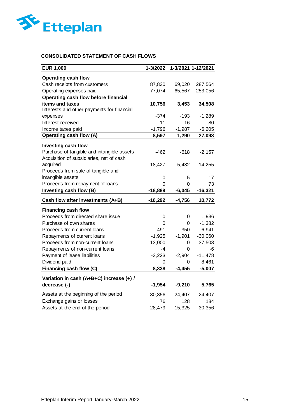

# **CONSOLIDATED STATEMENT OF CASH FLOWS**

| <b>EUR 1,000</b>                                                  | 1-3/2022     |                | 1-3/2021 1-12/2021 |
|-------------------------------------------------------------------|--------------|----------------|--------------------|
| <b>Operating cash flow</b>                                        |              |                |                    |
| Cash receipts from customers                                      | 87,830       | 69,020         | 287,564            |
| Operating expenses paid                                           | $-77,074$    | $-65,567$      | $-253,056$         |
| Operating cash flow before financial                              |              |                |                    |
| items and taxes                                                   | 10,756       | 3,453          | 34,508             |
| Interests and other payments for financial                        |              |                |                    |
| expenses                                                          | -374         | $-193$         | $-1,289$           |
| Interest received                                                 | 11           | 16             | 80                 |
| Income taxes paid                                                 | $-1,796$     | $-1,987$       | $-6,205$           |
| <b>Operating cash flow (A)</b>                                    | 8,597        | 1,290          | 27,093             |
| <b>Investing cash flow</b>                                        |              |                |                    |
| Purchase of tangible and intangible assets                        | $-462$       | $-618$         | $-2,157$           |
| Acquisition of subsidiaries, net of cash                          |              |                |                    |
| acquired                                                          | $-18,427$    | $-5,432$       | $-14,255$          |
| Proceeds from sale of tangible and                                |              |                |                    |
| intangible assets                                                 | 0            | 5              | 17                 |
| Proceeds from repayment of loans                                  | 0            | 0              | 73                 |
| Investing cash flow (B)                                           | $-18,889$    | $-6,045$       | $-16,321$          |
|                                                                   |              |                |                    |
| Cash flow after investments (A+B)                                 | $-10,292$    | $-4,756$       | 10,772             |
|                                                                   |              |                |                    |
| <b>Financing cash flow</b>                                        |              |                |                    |
| Proceeds from directed share issue<br>Purchase of own shares      | 0<br>0       | $\pmb{0}$<br>0 | 1,936              |
| Proceeds from current loans                                       | 491          | 350            | $-1,382$           |
| Repayments of current loans                                       | $-1,925$     |                | 6,941<br>$-30,060$ |
| Proceeds from non-current loans                                   | 13,000       | $-1,901$<br>0  | 37,503             |
| Repayments of non-current loans                                   | -4           | 0              | -6                 |
| Payment of lease liabilities                                      | $-3,223$     | $-2,904$       | $-11,478$          |
| Dividend paid                                                     | 0            | 0              | $-8,461$           |
| Financing cash flow (C)                                           | 8,338        | $-4,455$       | $-5,007$           |
|                                                                   |              |                |                    |
| Variation in cash (A+B+C) increase (+) /<br>decrease (-)          | $-1,954$     | $-9,210$       | 5,765              |
|                                                                   |              |                |                    |
| Assets at the beginning of the period<br>Exchange gains or losses | 30,356<br>76 | 24,407<br>128  | 24,407<br>184      |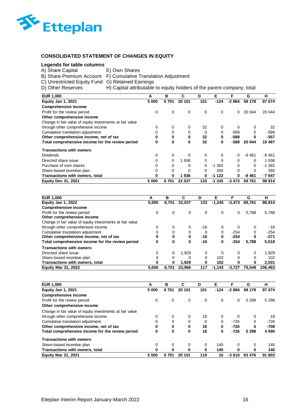

# **CONSOLIDATED STATEMENT OF CHANGES IN EQUITY**

# **Legends for table columns**

| A) Share Capital                                 | E) Own Shares                                                          |
|--------------------------------------------------|------------------------------------------------------------------------|
|                                                  | B) Share Premium Account F) Cumulative Translation Adjustment          |
| C) Unrestricted Equity Fund G) Retained Earnings |                                                                        |
| D) Other Reserves                                | H) Capital attributable to equity holders of the parent company, total |

| <b>EUR 1,000</b>                                         | А     | в        | С      | D   | Е        | F        | G        | н        |
|----------------------------------------------------------|-------|----------|--------|-----|----------|----------|----------|----------|
| Equity Jan 1, 2021                                       | 5 000 | 6701     | 20 101 | 101 | $-124$   | $-2884$  | 58 178   | 87 074   |
| <b>Comprehensive income</b>                              |       |          |        |     |          |          |          |          |
| Profit for the review period                             | 0     | 0        | 0      | 0   | 0        | $\Omega$ | 20 044   | 20 044   |
| Other comprehensive income                               |       |          |        |     |          |          |          |          |
| Change in fair value of equity investments at fair value |       |          |        |     |          |          |          |          |
| through other comprehensive income                       | 0     | 0        | 0      | 32  | 0        | $\Omega$ | 0        | 32       |
| Cumulative translation adjustment                        | 0     | 0        | 0      | 0   | 0        | $-589$   | 0        | $-589$   |
| Other comprehensive income, net of tax                   | 0     | 0        | 0      | 32  | 0        | -589     | 0        | -557     |
| Total comprehensive income for the review period         | 0     | 0        | 0      | 32  | 0        | -589     | 20 044   | 19 487   |
| <b>Transactions with owners</b>                          |       |          |        |     |          |          |          |          |
| <b>Dividends</b>                                         | 0     | 0        | 0      | 0   | 0        | 0        | $-8461$  | $-8461$  |
| Directed share issue                                     | 0     | $\Omega$ | 1936   | 0   | $\Omega$ | $\Omega$ | $\Omega$ | 1936     |
| Purchase of own shares                                   | 0     | 0        | 0      | 0   | $-1.382$ | 0        | 0        | $-1.382$ |
| Share-based incentive plan                               | 0     | 0        | 0      | 0   | 260      | $\Omega$ | 0        | 260      |
| Transactions with owners, total                          | 0     | 0        | 936    | 0   | $-1122$  | 0        | -8 461   | $-7647$  |
| <b>Equity Dec 31, 2021</b>                               | 5 000 | 6701     | 22 037 | 133 | $-1245$  | -3 473   | 69761    | 98 914   |

| <b>EUR 1,000</b>                                         | А     | в     | C      | D           | F        |          | G      | н       |
|----------------------------------------------------------|-------|-------|--------|-------------|----------|----------|--------|---------|
| Equity Jan 1, 2022                                       | 5.000 | 6,701 | 22.037 | 133         | $-1.245$ | $-3.473$ | 69.761 | 98,914  |
| <b>Comprehensive income</b>                              |       |       |        |             |          |          |        |         |
| Profit for the review period                             | 0     | 0     | 0      | $\mathbf 0$ | 0        | 0        | 5,788  | 5,788   |
| Other comprehensive income                               |       |       |        |             |          |          |        |         |
| Change in fair value of equity investments at fair value |       |       |        |             |          |          |        |         |
| through other comprehensive income                       | 0     | 0     | 0      | $-16$       | $\Omega$ | $\Omega$ | 0      | $-16$   |
| Cumulative translation adjustment                        | 0     | 0     | 0      | 0           | 0        | $-254$   | 0      | $-254$  |
| Other comprehensive income, net of tax                   | 0     | 0     | 0      | -16         | 0        | $-254$   | 0      | $-271$  |
| Total comprehensive income for the review period         | 0     | 0     | 0      | -16         | 0        | $-254$   | 5,788  | 5,518   |
| <b>Transactions with owners</b>                          |       |       |        |             |          |          |        |         |
| Directed share issue                                     | 0     | 0     | 1.929  | 0           | 0        | 0        | 0      | 1.929   |
| Share-based incentive plan                               | 0     | 0     | 0      | 0           | 102      | 0        | 0      | 102     |
| Transactions with owners, total                          | 0     | 0     | 1,929  | 0           | 102      |          | 0      | 2,031   |
| <b>Equity Mar 31, 2022</b>                               | 5.000 | 6,701 | 23.966 | 117         | $-1,143$ | $-3.727$ | 75.549 | 106.463 |

| <b>EUR 1,000</b>                                         | А     | в    | C           | D   | Е      | F        | G       | н       |
|----------------------------------------------------------|-------|------|-------------|-----|--------|----------|---------|---------|
| Equity Jan 1, 2021                                       | 5 000 | 6701 | 20 101      | 101 | $-124$ | $-2884$  | 58 178  | 87 074  |
| <b>Comprehensive income</b>                              |       |      |             |     |        |          |         |         |
| Profit for the review period                             | 0     | 0    | $\mathbf 0$ | 0   | 0      | $\Omega$ | 5 2 9 8 | 5 2 9 8 |
| Other comprehensive income                               |       |      |             |     |        |          |         |         |
| Change in fair value of equity investments at fair value |       |      |             |     |        |          |         |         |
| through other comprehensive income                       | 0     | 0    | 0           | 18  | 0      | $\Omega$ | 0       | 18      |
| Cumulative translation adjustment                        | 0     | 0    | 0           | 0   | 0      | $-726$   | 0       | $-726$  |
| Other comprehensive income, net of tax                   | 0     | 0    | 0           | 18  | 0      | $-726$   | 0       | $-708$  |
| Total comprehensive income for the review period         | 0     | 0    | 0           | 18  | 0      | $-726$   | 5 2 9 8 | 4 5 9 0 |
| <b>Transactions with owners</b>                          |       |      |             |     |        |          |         |         |
| Share-based incentive plan                               | 0     | 0    | 0           | 0   | 140    | 0        | 0       | 140     |
| Transactions with owners, total                          | 0     |      | 0           | 0   | 140    | 0        | 0       | 140     |
| <b>Equity Mar 31, 2021</b>                               | 5 000 | 6701 | 20<br>101   | 119 | 16     | $-3610$  | 63 476  | 91 803  |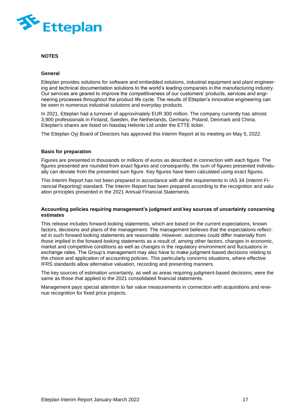

### **NOTES**

### **General**

Etteplan provides solutions for software and embedded solutions, industrial equipment and plant engineering and technical documentation solutions to the world's leading companies in the manufacturing industry. Our services are geared to improve the competitiveness of our customers' products, services and engineering processes throughout the product life cycle. The results of Etteplan's innovative engineering can be seen in numerous industrial solutions and everyday products.

In 2021, Etteplan had a turnover of approximately EUR 300 million. The company currently has almost 3,900 professionals in Finland, Sweden, the Netherlands, Germany, Poland, Denmark and China. Etteplan's shares are listed on Nasdaq Helsinki Ltd under the ETTE ticker.

The Etteplan Oyj Board of Directors has approved this Interim Report at its meeting on May 5, 2022.

### **Basis for preparation**

Figures are presented in thousands or millions of euros as described in connection with each figure. The figures presented are rounded from exact figures and consequently, the sum of figures presented individually can deviate from the presented sum figure. Key figures have been calculated using exact figures.

This Interim Report has not been prepared in accordance with all the requirements in IAS 34 (Interim Financial Reporting) standard. The Interim Report has been prepared according to the recognition and valuation principles presented in the 2021 Annual Financial Statements.

### **Accounting policies requiring management's judgment and key sources of uncertainty concerning estimates**

This release includes forward-looking statements, which are based on the current expectations, known factors, decisions and plans of the management. The management believes that the expectations reflected in such forward looking statements are reasonable. However, outcomes could differ materially from those implied in the forward-looking statements as a result of, among other factors, changes in economic, market and competitive conditions as well as changes in the regulatory environment and fluctuations in exchange rates. The Group's management may also have to make judgment-based decisions relating to the choice and application of accounting policies. This particularly concerns situations, where effective IFRS standards allow alternative valuation, recording and presenting manners.

The key sources of estimation uncertainty, as well as areas requiring judgment-based decisions, were the same as those that applied to the 2021 consolidated financial statements.

Management pays special attention to fair value measurements in connection with acquisitions and revenue recognition for fixed price projects.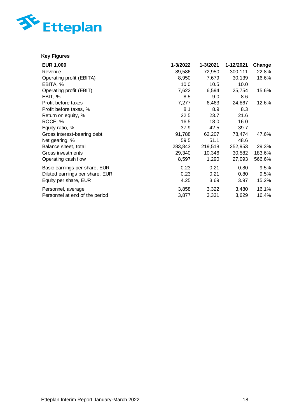

# **Key Figures**

| <b>EUR 1,000</b>                | 1-3/2022 | 1-3/2021 | 1-12/2021 | Change |
|---------------------------------|----------|----------|-----------|--------|
| Revenue                         | 89,586   | 72,950   | 300,111   | 22.8%  |
| Operating profit (EBITA)        | 8,950    | 7,679    | 30,139    | 16.6%  |
| EBITA, %                        | 10.0     | 10.5     | 10.0      |        |
| Operating profit (EBIT)         | 7,622    | 6,594    | 25,754    | 15.6%  |
| EBIT, %                         | 8.5      | 9.0      | 8.6       |        |
| Profit before taxes             | 7,277    | 6,463    | 24,867    | 12.6%  |
| Profit before taxes, %          | 8.1      | 8.9      | 8.3       |        |
| Return on equity, %             | 22.5     | 23.7     | 21.6      |        |
| ROCE, %                         | 16.5     | 18.0     | 16.0      |        |
| Equity ratio, %                 | 37.9     | 42.5     | 39.7      |        |
| Gross interest-bearing debt     | 91,788   | 62,207   | 78,474    | 47.6%  |
| Net gearing, %                  | 59.5     | 51.1     | 48.6      |        |
| Balance sheet, total            | 283,843  | 219,518  | 252,953   | 29.3%  |
| Gross investments               | 29,340   | 10,346   | 30,582    | 183.6% |
| Operating cash flow             | 8,597    | 1,290    | 27,093    | 566.6% |
| Basic earnings per share, EUR   | 0.23     | 0.21     | 0.80      | 9.5%   |
| Diluted earnings per share, EUR | 0.23     | 0.21     | 0.80      | 9.5%   |
| Equity per share, EUR           | 4.25     | 3.69     | 3.97      | 15.2%  |
| Personnel, average              | 3,858    | 3,322    | 3,480     | 16.1%  |
| Personnel at end of the period  | 3,877    | 3,331    | 3,629     | 16.4%  |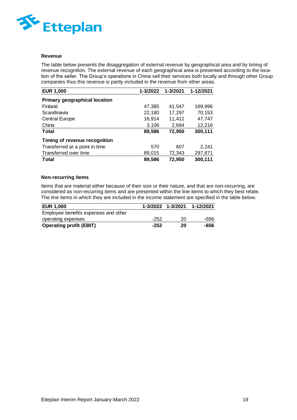

### **Revenue**

The table below presents the disaggregation of external revenue by geographical area and by timing of revenue recognition. The external revenue of each geographical area is presented according to the location of the seller. The Group's operations in China sell their services both locally and through other Group companies thus this revenue is partly included in the revenue from other areas.

| <b>EUR 1,000</b>                     | 1-3/2022 | 1-3/2021 | 1-12/2021 |
|--------------------------------------|----------|----------|-----------|
| <b>Primary geographical location</b> |          |          |           |
| Finland                              | 47,385   | 41,547   | 169,996   |
| Scandinavia                          | 22,180   | 17,297   | 70,153    |
| <b>Central Europe</b>                | 16,914   | 11,412   | 47,747    |
| China                                | 3,106    | 2,694    | 12,216    |
| <b>Total</b>                         | 89,586   | 72,950   | 300,111   |
| Timing of revenue recognition        |          |          |           |
| Transferred at a point in time       | 570      | 607      | 2,241     |
| Transferred over time                | 89,015   | 72,343   | 297,871   |
| <b>Total</b>                         | 89,586   | 72,950   | 300,111   |

# **Non-recurring items**

Items that are material either because of their size or their nature, and that are non-recurring, are considered as non-recurring items and are presented within the line items to which they best relate. The line items in which they are included in the income statement are specified in the table below.

| <b>EUR 1,000</b>                     |        | 1-3/2022 1-3/2021 | 1-12/2021 |
|--------------------------------------|--------|-------------------|-----------|
| Employee benefits expenses and other |        |                   |           |
| operating expenses                   | -252   | 20                | -656      |
| <b>Operating profit (EBIT)</b>       | $-252$ | 20                | -656      |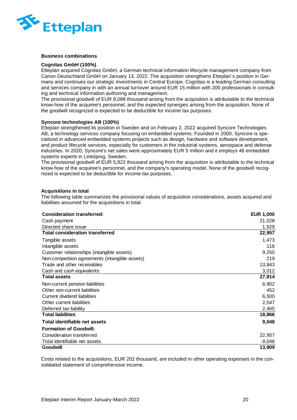

### **Business combinations**

### **Cognitas GmbH (100%)**

Etteplan acquired Cognitas GmbH, a German technical information lifecycle management company from Canon Deutschland GmbH on January 13, 2022. The acquisition strengthens Etteplan´s position in Germany and continues our strategic investments in Central Europe. Cognitas is a leading German consulting and services company in with an annual turnover around EUR 15 million with 200 professionals in consulting and technical information authoring and management.

The provisional goodwill of EUR 8,088 thousand arising from the acquisition is attributable to the technical know-how of the acquiree's personnel, and the expected synergies arising from the acquisition. None of the goodwill recognized is expected to be deductible for income tax purposes.

### **Syncore technologies AB (100%)**

Etteplan strengthened its position in Sweden and on February 2, 2022 acquired Syncore Technologies AB, a technology services company focusing on embedded systems. Founded in 2000, Syncore is specialized in advanced embedded systems projects such as design, hardware and software development, and product lifecycle services, especially for customers in the industrial systems, aerospace and defense industries. In 2020, Syncore's net sales were approximately EUR 5 million and it employs 46 embedded systems experts in Linköping, Sweden.

The provisional goodwill of EUR 5,822 thousand arising from the acquisition is attributable to the technical know-how of the acquiree's personnel, and the company's operating model. None of the goodwill recognized is expected to be deductible for income tax purposes.

### **Acquisitions in total**

The following table summarizes the provisional values of acquisition considerations, assets acquired and liabilities assumed for the acquisitions in total.

| <b>Consideration transferred:</b>              | <b>EUR 1,000</b> |
|------------------------------------------------|------------------|
| Cash payment                                   | 21,028           |
| Directed share issue                           | 1,929            |
| <b>Total consideration transferred</b>         | 22,957           |
| Tangible assets                                | 1,473            |
| Intangible assets                              | 116              |
| Customer relationships (intangible assets)     | 9,250            |
| Non-competition agreements (intangible assets) | 219              |
| Trade and other receivables                    | 13,843           |
| Cash and cash equivalents                      | 3,012            |
| <b>Total assets</b>                            | 27,914           |
| Non-current pension liabilities                | 6,902            |
| Other non-current liabilities                  | 452              |
| <b>Current dividend liabilities</b>            | 6,500            |
| Other current liabilities                      | 2,547            |
| Deferred tax liability                         | 2,465            |
| <b>Total liabilities</b>                       | 18,866           |
| Total identifiable net assets                  | 9,048            |
| <b>Formation of Goodwill:</b>                  |                  |
| Consideration transferred                      | 22,957           |
| Total identifiable net assets                  | $-9,048$         |
| <b>Goodwill</b>                                | 13,909           |

Costs related to the acquisitions, EUR 202 thousand, are included in other operating expenses in the consolidated statement of comprehensive income.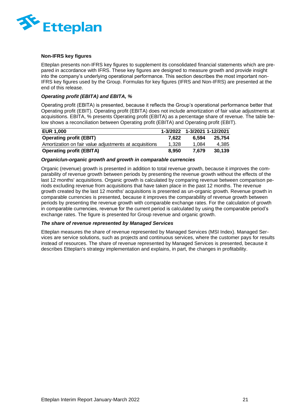

### **Non-IFRS key figures**

Etteplan presents non-IFRS key figures to supplement its consolidated financial statements which are prepared in accordance with IFRS. These key figures are designed to measure growth and provide insight into the company's underlying operational performance. This section describes the most important non-IFRS key figures used by the Group. Formulas for key figures (IFRS and Non-IFRS) are presented at the end of this release.

# *Operating profit (EBITA) and EBITA, %*

Operating profit (EBITA) is presented, because it reflects the Group's operational performance better that Operating profit (EBIT). Operating profit (EBITA) does not include amortization of fair value adjustments at acquisitions. EBITA, % presents Operating profit (EBITA) as a percentage share of revenue. The table below shows a reconciliation between Operating profit (EBITA) and Operating profit (EBIT).

| <b>EUR 1,000</b>                                       | 1-3/2022 | 1-3/2021 1-12/2021 |        |
|--------------------------------------------------------|----------|--------------------|--------|
| <b>Operating profit (EBIT)</b>                         | 7.622    | 6.594              | 25.754 |
| Amortization on fair value adjustments at acquisitions | 1.328    | 1.084              | 4,385  |
| <b>Operating profit (EBITA)</b>                        | 8.950    | 7.679              | 30.139 |

### *Organic/un-organic growth and growth in comparable currencies*

Organic (revenue) growth is presented in addition to total revenue growth, because it improves the comparability of revenue growth between periods by presenting the revenue growth without the effects of the last 12 months' acquisitions. Organic growth is calculated by comparing revenue between comparison periods excluding revenue from acquisitions that have taken place in the past 12 months. The revenue growth created by the last 12 months' acquisitions is presented as un-organic growth. Revenue growth in comparable currencies is presented, because it improves the comparability of revenue growth between periods by presenting the revenue growth with comparable exchange rates. For the calculation of growth in comparable currencies, revenue for the current period is calculated by using the comparable period's exchange rates. The figure is presented for Group revenue and organic growth.

### *The share of revenue represented by Managed Services*

Etteplan measures the share of revenue represented by Managed Services (MSI Index). Managed Services are service solutions, such as projects and continuous services, where the customer pays for results instead of resources. The share of revenue represented by Managed Services is presented, because it describes Etteplan's strategy implementation and explains, in part, the changes in profitability.